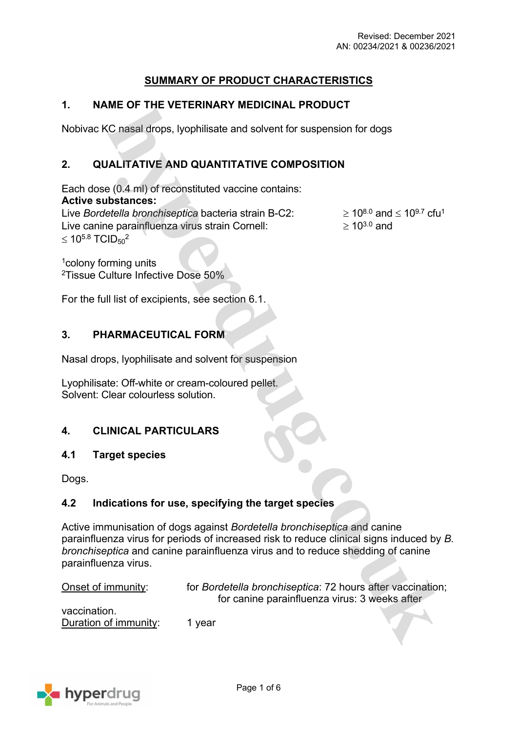## **SUMMARY OF PRODUCT CHARACTERISTICS**

## **1. NAME OF THE VETERINARY MEDICINAL PRODUCT**

Nobivac KC nasal drops, lyophilisate and solvent for suspension for dogs

# **2. QUALITATIVE AND QUANTITATIVE COMPOSITION**

Each dose (0.4 ml) of reconstituted vaccine contains: **Active substances:** Live *Bordetella bronchiseptica* bacteria strain B-C2:  $\geq 10^{8.0}$  and  $\leq 10^{9.7}$  cfu<sup>1</sup>

Live canine parainfluenza virus strain Cornell:  $\geq 10^{3.0}$  and  $\leq 10^{5.8}$  TCID<sub>50</sub><sup>2</sup>

<sup>1</sup>colony forming units <sup>2</sup>Tissue Culture Infective Dose 50%

For the full list of excipients, see section 6.1.

### **3. PHARMACEUTICAL FORM**

Nasal drops, lyophilisate and solvent for suspension

Lyophilisate: Off-white or cream-coloured pellet. Solvent: Clear colourless solution.

### **4. CLINICAL PARTICULARS**

#### **4.1 Target species**

Dogs.

#### **4.2 Indications for use, specifying the target species**

Active immunisation of dogs against *Bordetella bronchiseptica* and canine parainfluenza virus for periods of increased risk to reduce clinical signs induced by *B. bronchiseptica* and canine parainfluenza virus and to reduce shedding of canine parainfluenza virus.

| Onset of immunity:                    | for Bordetella bronchiseptica: 72 hours after vaccination;<br>for canine parainfluenza virus: 3 weeks after |
|---------------------------------------|-------------------------------------------------------------------------------------------------------------|
| vaccination.<br>Duration of immunity: | 1 vear                                                                                                      |
|                                       |                                                                                                             |

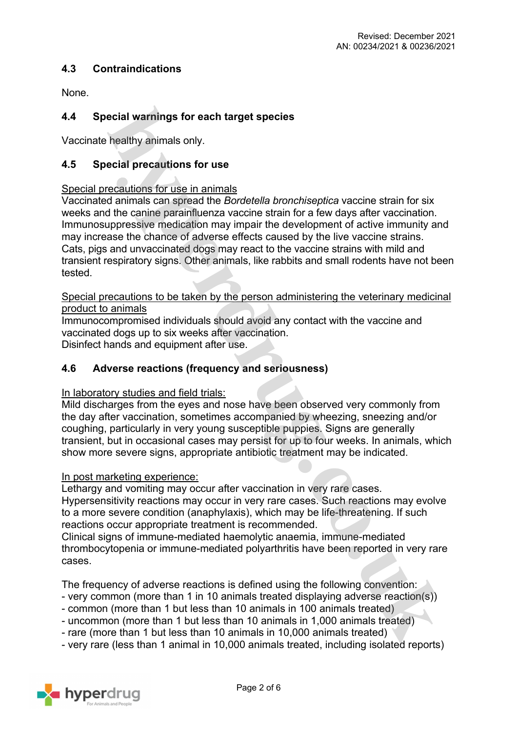### **4.3 Contraindications**

None.

## **4.4 Special warnings for each target species**

Vaccinate healthy animals only.

#### **4.5 Special precautions for use**

#### Special precautions for use in animals

Vaccinated animals can spread the *Bordetella bronchiseptica* vaccine strain for six weeks and the canine parainfluenza vaccine strain for a few days after vaccination. Immunosuppressive medication may impair the development of active immunity and may increase the chance of adverse effects caused by the live vaccine strains. Cats, pigs and unvaccinated dogs may react to the vaccine strains with mild and transient respiratory signs. Other animals, like rabbits and small rodents have not been tested.

Special precautions to be taken by the person administering the veterinary medicinal product to animals

Immunocompromised individuals should avoid any contact with the vaccine and vaccinated dogs up to six weeks after vaccination. Disinfect hands and equipment after use.

### **4.6 Adverse reactions (frequency and seriousness)**

#### In laboratory studies and field trials:

Mild discharges from the eyes and nose have been observed very commonly from the day after vaccination, sometimes accompanied by wheezing, sneezing and/or coughing, particularly in very young susceptible puppies. Signs are generally transient, but in occasional cases may persist for up to four weeks. In animals, which show more severe signs, appropriate antibiotic treatment may be indicated.

#### In post marketing experience:

Lethargy and vomiting may occur after vaccination in very rare cases. Hypersensitivity reactions may occur in very rare cases. Such reactions may evolve to a more severe condition (anaphylaxis), which may be life-threatening. If such reactions occur appropriate treatment is recommended.

Clinical signs of immune-mediated haemolytic anaemia, immune-mediated thrombocytopenia or immune-mediated polyarthritis have been reported in very rare cases.

The frequency of adverse reactions is defined using the following convention:

- very common (more than 1 in 10 animals treated displaying adverse reaction(s))
- common (more than 1 but less than 10 animals in 100 animals treated)
- uncommon (more than 1 but less than 10 animals in 1,000 animals treated)
- rare (more than 1 but less than 10 animals in 10,000 animals treated)
- very rare (less than 1 animal in 10,000 animals treated, including isolated reports)

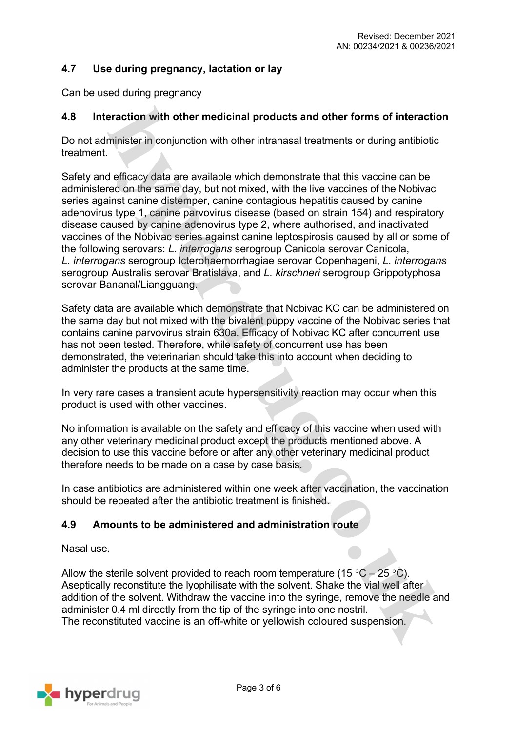## **4.7 Use during pregnancy, lactation or lay**

Can be used during pregnancy

### **4.8 Interaction with other medicinal products and other forms of interaction**

Do not administer in conjunction with other intranasal treatments or during antibiotic treatment.

Safety and efficacy data are available which demonstrate that this vaccine can be administered on the same day, but not mixed, with the live vaccines of the Nobivac series against canine distemper, canine contagious hepatitis caused by canine adenovirus type 1, canine parvovirus disease (based on strain 154) and respiratory disease caused by canine adenovirus type 2, where authorised, and inactivated vaccines of the Nobivac series against canine leptospirosis caused by all or some of the following serovars: *L. interrogans* serogroup Canicola serovar Canicola, *L. interrogans* serogroup Icterohaemorrhagiae serovar Copenhageni, *L. interrogans* serogroup Australis serovar Bratislava, and *L. kirschneri* serogroup Grippotyphosa serovar Bananal/Liangguang.

Safety data are available which demonstrate that Nobivac KC can be administered on the same day but not mixed with the bivalent puppy vaccine of the Nobivac series that contains canine parvovirus strain 630a. Efficacy of Nobivac KC after concurrent use has not been tested. Therefore, while safety of concurrent use has been demonstrated, the veterinarian should take this into account when deciding to administer the products at the same time.

In very rare cases a transient acute hypersensitivity reaction may occur when this product is used with other vaccines.

No information is available on the safety and efficacy of this vaccine when used with any other veterinary medicinal product except the products mentioned above. A decision to use this vaccine before or after any other veterinary medicinal product therefore needs to be made on a case by case basis.

In case antibiotics are administered within one week after vaccination, the vaccination should be repeated after the antibiotic treatment is finished.

### **4.9 Amounts to be administered and administration route**

Nasal use.

Allow the sterile solvent provided to reach room temperature (15  $\degree$ C – 25  $\degree$ C). Aseptically reconstitute the lyophilisate with the solvent. Shake the vial well after addition of the solvent. Withdraw the vaccine into the syringe, remove the needle and administer 0.4 ml directly from the tip of the syringe into one nostril. The reconstituted vaccine is an off-white or yellowish coloured suspension.

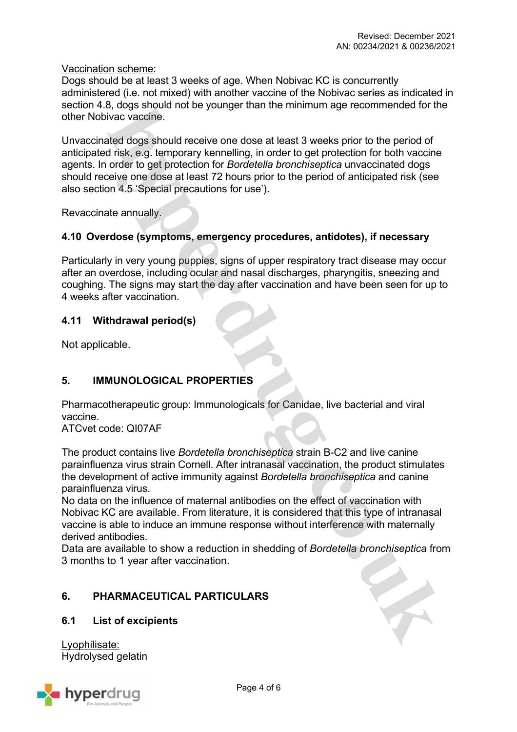Vaccination scheme:

Dogs should be at least 3 weeks of age. When Nobivac KC is concurrently administered (i.e. not mixed) with another vaccine of the Nobivac series as indicated in section 4.8, dogs should not be younger than the minimum age recommended for the other Nobivac vaccine.

Unvaccinated dogs should receive one dose at least 3 weeks prior to the period of anticipated risk, e.g. temporary kennelling, in order to get protection for both vaccine agents. In order to get protection for *Bordetella bronchiseptica* unvaccinated dogs should receive one dose at least 72 hours prior to the period of anticipated risk (see also section 4.5 'Special precautions for use').

Revaccinate annually.

### **4.10 Overdose (symptoms, emergency procedures, antidotes), if necessary**

Particularly in very young puppies, signs of upper respiratory tract disease may occur after an overdose, including ocular and nasal discharges, pharyngitis, sneezing and coughing. The signs may start the day after vaccination and have been seen for up to 4 weeks after vaccination.

## **4.11 Withdrawal period(s)**

Not applicable.

# **5. IMMUNOLOGICAL PROPERTIES**

Pharmacotherapeutic group: Immunologicals for Canidae, live bacterial and viral vaccine.

ATCvet code: QI07AF

The product contains live *Bordetella bronchiseptica* strain B-C2 and live canine parainfluenza virus strain Cornell. After intranasal vaccination, the product stimulates the development of active immunity against *Bordetella bronchiseptica* and canine parainfluenza virus.

No data on the influence of maternal antibodies on the effect of vaccination with Nobivac KC are available. From literature, it is considered that this type of intranasal vaccine is able to induce an immune response without interference with maternally derived antibodies.

Data are available to show a reduction in shedding of *Bordetella bronchiseptica* from 3 months to 1 year after vaccination.

# **6. PHARMACEUTICAL PARTICULARS**

### **6.1 List of excipients**

Lyophilisate: Hydrolysed gelatin

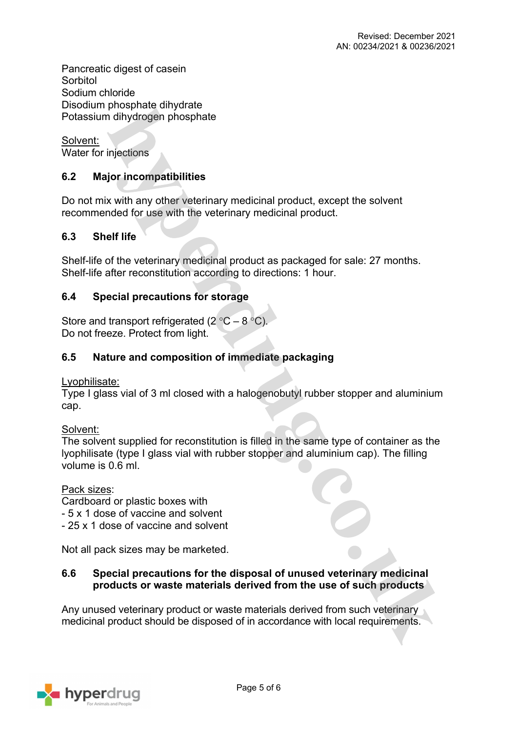Pancreatic digest of casein **Sorbitol** Sodium chloride Disodium phosphate dihydrate Potassium dihydrogen phosphate

Solvent: Water for injections

# **6.2 Major incompatibilities**

Do not mix with any other veterinary medicinal product, except the solvent recommended for use with the veterinary medicinal product.

## **6.3 Shelf life**

Shelf-life of the veterinary medicinal product as packaged for sale: 27 months. Shelf-life after reconstitution according to directions: 1 hour.

## **6.4 Special precautions for storage**

Store and transport refrigerated (2  $^{\circ}$ C – 8  $^{\circ}$ C). Do not freeze. Protect from light.

## **6.5 Nature and composition of immediate packaging**

Lyophilisate:

Type I glass vial of 3 ml closed with a halogenobutyl rubber stopper and aluminium cap.

Solvent:

The solvent supplied for reconstitution is filled in the same type of container as the lyophilisate (type I glass vial with rubber stopper and aluminium cap). The filling volume is 0.6 ml.

Pack sizes:

Cardboard or plastic boxes with

- 5 x 1 dose of vaccine and solvent

- 25 x 1 dose of vaccine and solvent

Not all pack sizes may be marketed.

## **6.6 Special precautions for the disposal of unused veterinary medicinal products or waste materials derived from the use of such products**

Any unused veterinary product or waste materials derived from such veterinary medicinal product should be disposed of in accordance with local requirements.